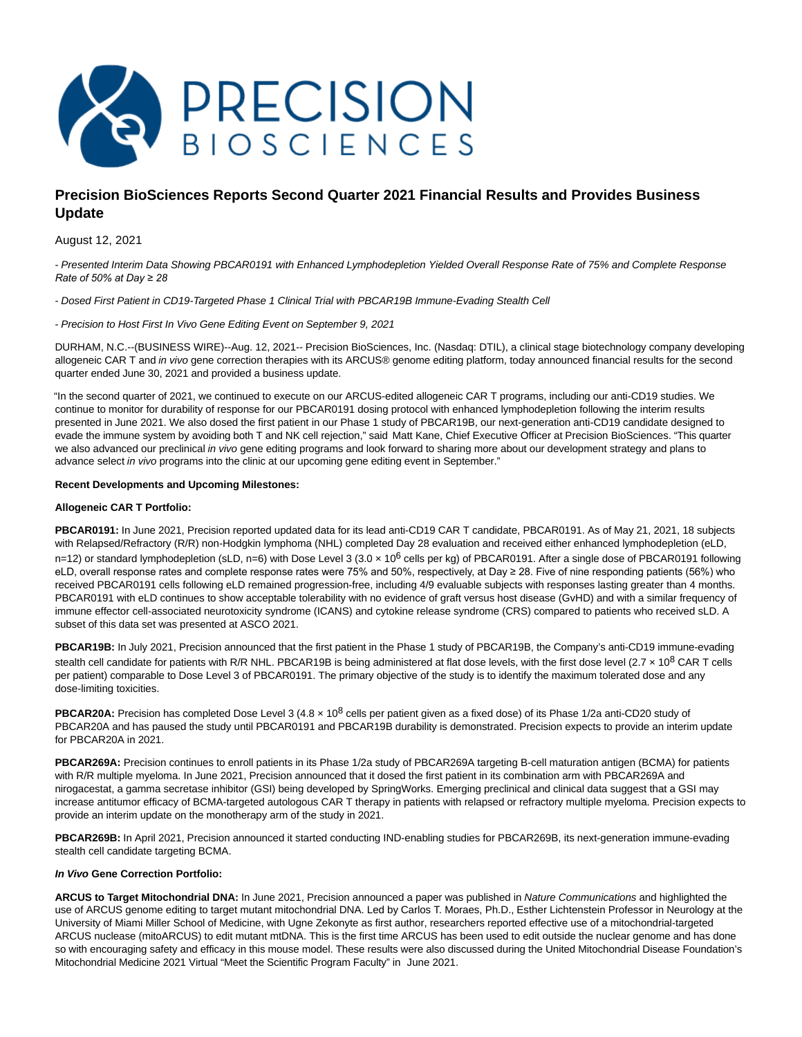

# **Precision BioSciences Reports Second Quarter 2021 Financial Results and Provides Business Update**

August 12, 2021

- Presented Interim Data Showing PBCAR0191 with Enhanced Lymphodepletion Yielded Overall Response Rate of 75% and Complete Response *Rate of 50% at Day ≥ 28*

- Dosed First Patient in CD19-Targeted Phase 1 Clinical Trial with PBCAR19B Immune-Evading Stealth Cell

- Precision to Host First In Vivo Gene Editing Event on September 9, 2021

DURHAM, N.C.--(BUSINESS WIRE)--Aug. 12, 2021-- Precision BioSciences, Inc. (Nasdaq: DTIL), a clinical stage biotechnology company developing allogeneic CAR T and in vivo gene correction therapies with its ARCUS® genome editing platform, today announced financial results for the second quarter ended June 30, 2021 and provided a business update.

"In the second quarter of 2021, we continued to execute on our ARCUS-edited allogeneic CAR T programs, including our anti-CD19 studies. We continue to monitor for durability of response for our PBCAR0191 dosing protocol with enhanced lymphodepletion following the interim results presented in June 2021. We also dosed the first patient in our Phase 1 study of PBCAR19B, our next-generation anti-CD19 candidate designed to evade the immune system by avoiding both T and NK cell rejection," said Matt Kane, Chief Executive Officer at Precision BioSciences. "This quarter we also advanced our preclinical in vivo gene editing programs and look forward to sharing more about our development strategy and plans to advance select in vivo programs into the clinic at our upcoming gene editing event in September."

### **Recent Developments and Upcoming Milestones:**

### **Allogeneic CAR T Portfolio:**

**PBCAR0191:** In June 2021, Precision reported updated data for its lead anti-CD19 CAR T candidate, PBCAR0191. As of May 21, 2021, 18 subjects with Relapsed/Refractory (R/R) non-Hodgkin lymphoma (NHL) completed Day 28 evaluation and received either enhanced lymphodepletion (eLD, n=12) or standard lymphodepletion (sLD, n=6) with Dose Level 3 (3.0 x 10<sup>6</sup> cells per kg) of PBCAR0191. After a single dose of PBCAR0191 following eLD, overall response rates and complete response rates were 75% and 50%, respectively, at Day ≥ 28. Five of nine responding patients (56%) who received PBCAR0191 cells following eLD remained progression-free, including 4/9 evaluable subjects with responses lasting greater than 4 months. PBCAR0191 with eLD continues to show acceptable tolerability with no evidence of graft versus host disease (GvHD) and with a similar frequency of immune effector cell-associated neurotoxicity syndrome (ICANS) and cytokine release syndrome (CRS) compared to patients who received sLD. A subset of this data set was presented at ASCO 2021.

**PBCAR19B:** In July 2021, Precision announced that the first patient in the Phase 1 study of PBCAR19B, the Company's anti-CD19 immune-evading stealth cell candidate for patients with R/R NHL. PBCAR19B is being administered at flat dose levels, with the first dose level (2.7 x 10<sup>8</sup> CAR T cells per patient) comparable to Dose Level 3 of PBCAR0191. The primary objective of the study is to identify the maximum tolerated dose and any dose-limiting toxicities.

PBCAR20A: Precision has completed Dose Level 3 (4.8 x 10<sup>8</sup> cells per patient given as a fixed dose) of its Phase 1/2a anti-CD20 study of PBCAR20A and has paused the study until PBCAR0191 and PBCAR19B durability is demonstrated. Precision expects to provide an interim update for PBCAR20A in 2021.

**PBCAR269A:** Precision continues to enroll patients in its Phase 1/2a study of PBCAR269A targeting B-cell maturation antigen (BCMA) for patients with R/R multiple myeloma. In June 2021, Precision announced that it dosed the first patient in its combination arm with PBCAR269A and nirogacestat, a gamma secretase inhibitor (GSI) being developed by SpringWorks. Emerging preclinical and clinical data suggest that a GSI may increase antitumor efficacy of BCMA-targeted autologous CAR T therapy in patients with relapsed or refractory multiple myeloma. Precision expects to provide an interim update on the monotherapy arm of the study in 2021.

**PBCAR269B:** In April 2021, Precision announced it started conducting IND-enabling studies for PBCAR269B, its next-generation immune-evading stealth cell candidate targeting BCMA.

# **In Vivo Gene Correction Portfolio:**

**ARCUS to Target Mitochondrial DNA:** In June 2021, Precision announced a paper was published in Nature Communications and highlighted the use of ARCUS genome editing to target mutant mitochondrial DNA. Led by Carlos T. Moraes, Ph.D., Esther Lichtenstein Professor in Neurology at the University of Miami Miller School of Medicine, with Ugne Zekonyte as first author, researchers reported effective use of a mitochondrial-targeted ARCUS nuclease (mitoARCUS) to edit mutant mtDNA. This is the first time ARCUS has been used to edit outside the nuclear genome and has done so with encouraging safety and efficacy in this mouse model. These results were also discussed during the United Mitochondrial Disease Foundation's Mitochondrial Medicine 2021 Virtual "Meet the Scientific Program Faculty" in June 2021.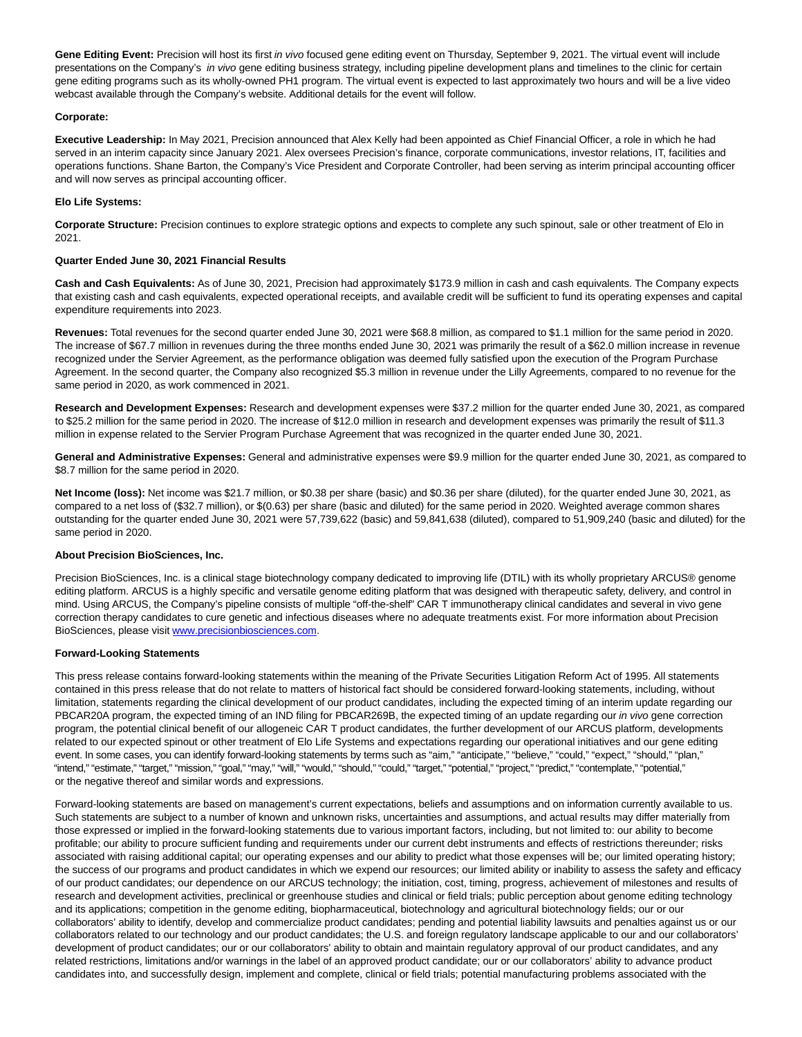Gene Editing Event: Precision will host its first in vivo focused gene editing event on Thursday, September 9, 2021. The virtual event will include presentations on the Company's in vivo gene editing business strategy, including pipeline development plans and timelines to the clinic for certain gene editing programs such as its wholly-owned PH1 program. The virtual event is expected to last approximately two hours and will be a live video webcast available through the Company's website. Additional details for the event will follow.

# **Corporate:**

**Executive Leadership:** In May 2021, Precision announced that Alex Kelly had been appointed as Chief Financial Officer, a role in which he had served in an interim capacity since January 2021. Alex oversees Precision's finance, corporate communications, investor relations, IT, facilities and operations functions. Shane Barton, the Company's Vice President and Corporate Controller, had been serving as interim principal accounting officer and will now serves as principal accounting officer.

# **Elo Life Systems:**

**Corporate Structure:** Precision continues to explore strategic options and expects to complete any such spinout, sale or other treatment of Elo in 2021.

# **Quarter Ended June 30, 2021 Financial Results**

**Cash and Cash Equivalents:** As of June 30, 2021, Precision had approximately \$173.9 million in cash and cash equivalents. The Company expects that existing cash and cash equivalents, expected operational receipts, and available credit will be sufficient to fund its operating expenses and capital expenditure requirements into 2023.

**Revenues:** Total revenues for the second quarter ended June 30, 2021 were \$68.8 million, as compared to \$1.1 million for the same period in 2020. The increase of \$67.7 million in revenues during the three months ended June 30, 2021 was primarily the result of a \$62.0 million increase in revenue recognized under the Servier Agreement, as the performance obligation was deemed fully satisfied upon the execution of the Program Purchase Agreement. In the second quarter, the Company also recognized \$5.3 million in revenue under the Lilly Agreements, compared to no revenue for the same period in 2020, as work commenced in 2021.

**Research and Development Expenses:** Research and development expenses were \$37.2 million for the quarter ended June 30, 2021, as compared to \$25.2 million for the same period in 2020. The increase of \$12.0 million in research and development expenses was primarily the result of \$11.3 million in expense related to the Servier Program Purchase Agreement that was recognized in the quarter ended June 30, 2021.

**General and Administrative Expenses:** General and administrative expenses were \$9.9 million for the quarter ended June 30, 2021, as compared to \$8.7 million for the same period in 2020.

**Net Income (loss):** Net income was \$21.7 million, or \$0.38 per share (basic) and \$0.36 per share (diluted), for the quarter ended June 30, 2021, as compared to a net loss of (\$32.7 million), or \$(0.63) per share (basic and diluted) for the same period in 2020. Weighted average common shares outstanding for the quarter ended June 30, 2021 were 57,739,622 (basic) and 59,841,638 (diluted), compared to 51,909,240 (basic and diluted) for the same period in 2020.

# **About Precision BioSciences, Inc.**

Precision BioSciences, Inc. is a clinical stage biotechnology company dedicated to improving life (DTIL) with its wholly proprietary ARCUS® genome editing platform. ARCUS is a highly specific and versatile genome editing platform that was designed with therapeutic safety, delivery, and control in mind. Using ARCUS, the Company's pipeline consists of multiple "off-the-shelf" CAR T immunotherapy clinical candidates and several in vivo gene correction therapy candidates to cure genetic and infectious diseases where no adequate treatments exist. For more information about Precision BioSciences, please visit [www.precisionbiosciences.com.](https://cts.businesswire.com/ct/CT?id=smartlink&url=http%3A%2F%2Fwww.precisionbiosciences.com&esheet=52475707&newsitemid=20210812005158&lan=en-US&anchor=www.precisionbiosciences.com&index=1&md5=191f2906b7f268a9f5f17ce527eb75e6)

# **Forward-Looking Statements**

This press release contains forward-looking statements within the meaning of the Private Securities Litigation Reform Act of 1995. All statements contained in this press release that do not relate to matters of historical fact should be considered forward-looking statements, including, without limitation, statements regarding the clinical development of our product candidates, including the expected timing of an interim update regarding our PBCAR20A program, the expected timing of an IND filing for PBCAR269B, the expected timing of an update regarding our in vivo gene correction program, the potential clinical benefit of our allogeneic CAR T product candidates, the further development of our ARCUS platform, developments related to our expected spinout or other treatment of Elo Life Systems and expectations regarding our operational initiatives and our gene editing event. In some cases, you can identify forward-looking statements by terms such as "aim," "anticipate," "believe," "could," "expect," "should," "plan," "intend," "estimate," "target," "mission," "goal," "may," "will," "would," "should," "could," "target," "potential," "project," "predict," "contemplate," "potential," or the negative thereof and similar words and expressions.

Forward-looking statements are based on management's current expectations, beliefs and assumptions and on information currently available to us. Such statements are subject to a number of known and unknown risks, uncertainties and assumptions, and actual results may differ materially from those expressed or implied in the forward-looking statements due to various important factors, including, but not limited to: our ability to become profitable; our ability to procure sufficient funding and requirements under our current debt instruments and effects of restrictions thereunder; risks associated with raising additional capital; our operating expenses and our ability to predict what those expenses will be; our limited operating history; the success of our programs and product candidates in which we expend our resources; our limited ability or inability to assess the safety and efficacy of our product candidates; our dependence on our ARCUS technology; the initiation, cost, timing, progress, achievement of milestones and results of research and development activities, preclinical or greenhouse studies and clinical or field trials; public perception about genome editing technology and its applications; competition in the genome editing, biopharmaceutical, biotechnology and agricultural biotechnology fields; our or our collaborators' ability to identify, develop and commercialize product candidates; pending and potential liability lawsuits and penalties against us or our collaborators related to our technology and our product candidates; the U.S. and foreign regulatory landscape applicable to our and our collaborators' development of product candidates; our or our collaborators' ability to obtain and maintain regulatory approval of our product candidates, and any related restrictions, limitations and/or warnings in the label of an approved product candidate; our or our collaborators' ability to advance product candidates into, and successfully design, implement and complete, clinical or field trials; potential manufacturing problems associated with the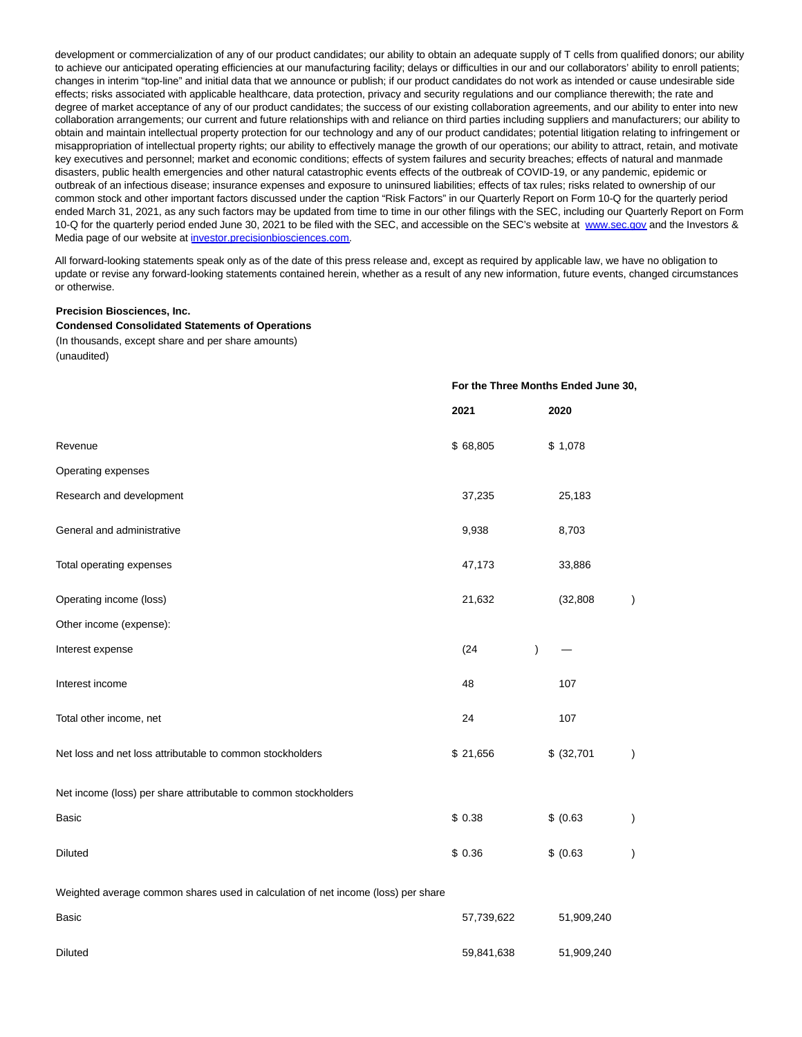development or commercialization of any of our product candidates; our ability to obtain an adequate supply of T cells from qualified donors; our ability to achieve our anticipated operating efficiencies at our manufacturing facility; delays or difficulties in our and our collaborators' ability to enroll patients; changes in interim "top-line" and initial data that we announce or publish; if our product candidates do not work as intended or cause undesirable side effects; risks associated with applicable healthcare, data protection, privacy and security regulations and our compliance therewith; the rate and degree of market acceptance of any of our product candidates; the success of our existing collaboration agreements, and our ability to enter into new collaboration arrangements; our current and future relationships with and reliance on third parties including suppliers and manufacturers; our ability to obtain and maintain intellectual property protection for our technology and any of our product candidates; potential litigation relating to infringement or misappropriation of intellectual property rights; our ability to effectively manage the growth of our operations; our ability to attract, retain, and motivate key executives and personnel; market and economic conditions; effects of system failures and security breaches; effects of natural and manmade disasters, public health emergencies and other natural catastrophic events effects of the outbreak of COVID-19, or any pandemic, epidemic or outbreak of an infectious disease; insurance expenses and exposure to uninsured liabilities; effects of tax rules; risks related to ownership of our common stock and other important factors discussed under the caption "Risk Factors" in our Quarterly Report on Form 10-Q for the quarterly period ended March 31, 2021, as any such factors may be updated from time to time in our other filings with the SEC, including our Quarterly Report on Form 10-Q for the quarterly period ended June 30, 2021 to be filed with the SEC, and accessible on the SEC's website at [www.sec.gov a](https://cts.businesswire.com/ct/CT?id=smartlink&url=http%3A%2F%2Fwww.sec.gov&esheet=52475707&newsitemid=20210812005158&lan=en-US&anchor=www.sec.gov&index=2&md5=c301e1a67c1f3a5b5c8267b2b3c17396)nd the Investors & Media page of our website at [investor.precisionbiosciences.com.](http://investor.precisionbiosciences.com/)

All forward-looking statements speak only as of the date of this press release and, except as required by applicable law, we have no obligation to update or revise any forward-looking statements contained herein, whether as a result of any new information, future events, changed circumstances or otherwise.

#### **Precision Biosciences, Inc.**

# **Condensed Consolidated Statements of Operations**

(In thousands, except share and per share amounts) (unaudited)

|                                                                                   | For the Three Months Ended June 30, |           |             |               |
|-----------------------------------------------------------------------------------|-------------------------------------|-----------|-------------|---------------|
|                                                                                   | 2021                                |           | 2020        |               |
| Revenue                                                                           | \$68,805                            |           | \$1,078     |               |
| Operating expenses                                                                |                                     |           |             |               |
| Research and development                                                          | 37,235                              |           | 25,183      |               |
| General and administrative                                                        | 9,938                               |           | 8,703       |               |
| Total operating expenses                                                          | 47,173                              |           | 33,886      |               |
| Operating income (loss)                                                           | 21,632                              |           | (32, 808)   | $\mathcal{E}$ |
| Other income (expense):                                                           |                                     |           |             |               |
| Interest expense                                                                  | (24)                                | $\lambda$ |             |               |
| Interest income                                                                   | 48                                  |           | 107         |               |
| Total other income, net                                                           | 24                                  |           | 107         |               |
| Net loss and net loss attributable to common stockholders                         | \$21,656                            |           | \$ (32,701) | $\mathcal{E}$ |
| Net income (loss) per share attributable to common stockholders                   |                                     |           |             |               |
| Basic                                                                             | \$0.38                              |           | \$ (0.63)   | $\mathcal{E}$ |
| Diluted                                                                           | \$0.36                              |           | \$ (0.63)   | $\mathcal{E}$ |
| Weighted average common shares used in calculation of net income (loss) per share |                                     |           |             |               |
| <b>Basic</b>                                                                      | 57,739,622                          |           | 51,909,240  |               |
| Diluted                                                                           | 59,841,638                          |           | 51,909,240  |               |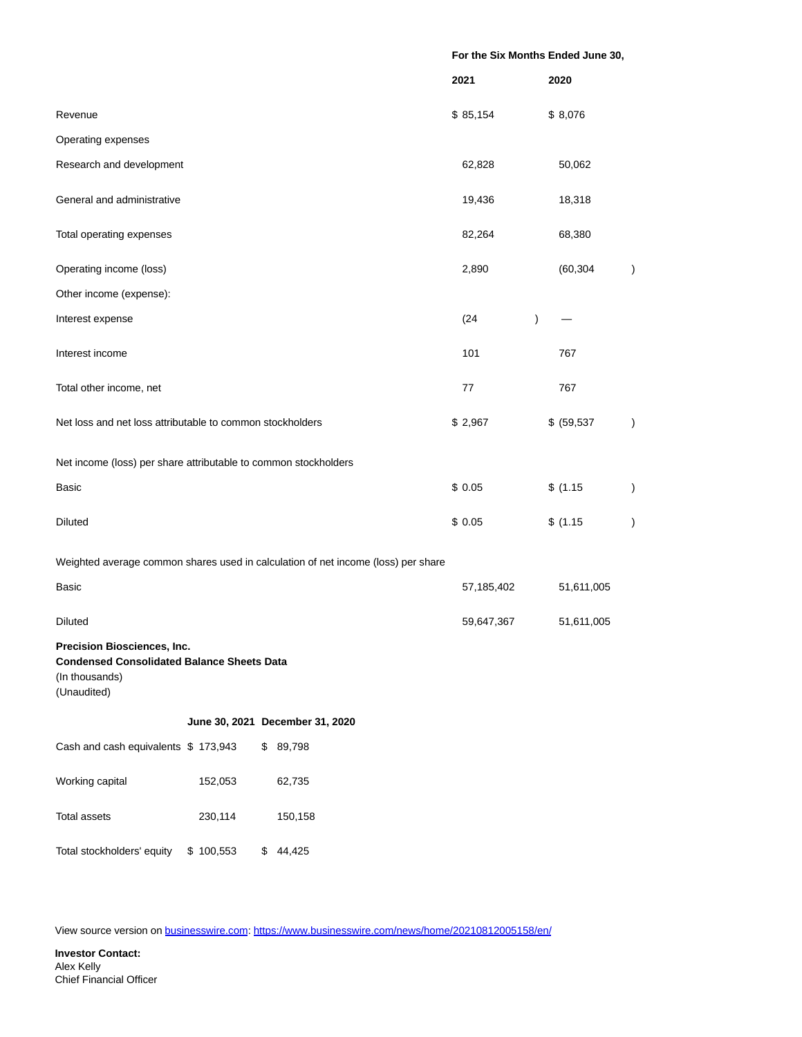|                                                                                                                   |         |                                                                                   | For the Six Months Ended June 30, |                       |  |             |               |
|-------------------------------------------------------------------------------------------------------------------|---------|-----------------------------------------------------------------------------------|-----------------------------------|-----------------------|--|-------------|---------------|
|                                                                                                                   |         |                                                                                   |                                   | 2021                  |  | 2020        |               |
| Revenue                                                                                                           |         |                                                                                   |                                   | \$85,154              |  | \$8,076     |               |
| Operating expenses                                                                                                |         |                                                                                   |                                   |                       |  |             |               |
| Research and development                                                                                          |         |                                                                                   |                                   | 62,828                |  | 50,062      |               |
| General and administrative                                                                                        |         |                                                                                   |                                   | 19,436                |  | 18,318      |               |
| Total operating expenses                                                                                          |         |                                                                                   |                                   | 82,264                |  | 68,380      |               |
| Operating income (loss)                                                                                           |         |                                                                                   |                                   | 2,890                 |  | (60, 304)   |               |
| Other income (expense):                                                                                           |         |                                                                                   |                                   |                       |  |             |               |
| Interest expense                                                                                                  |         |                                                                                   |                                   | (24)<br>$\mathcal{E}$ |  |             |               |
| Interest income                                                                                                   |         |                                                                                   |                                   | 101                   |  | 767         |               |
| Total other income, net                                                                                           |         |                                                                                   |                                   | 77                    |  | 767         |               |
| Net loss and net loss attributable to common stockholders                                                         |         |                                                                                   |                                   | \$2,967               |  | \$ (59,537) | ⟩             |
| Net income (loss) per share attributable to common stockholders                                                   |         |                                                                                   |                                   |                       |  |             |               |
| Basic                                                                                                             |         |                                                                                   |                                   | \$0.05                |  | \$(1.15)    | $\mathcal{E}$ |
| <b>Diluted</b>                                                                                                    |         |                                                                                   |                                   | \$0.05                |  | \$(1.15)    | $\mathcal{E}$ |
|                                                                                                                   |         | Weighted average common shares used in calculation of net income (loss) per share |                                   |                       |  |             |               |
| Basic                                                                                                             |         |                                                                                   |                                   | 57,185,402            |  | 51,611,005  |               |
| Diluted                                                                                                           |         |                                                                                   |                                   | 59,647,367            |  | 51,611,005  |               |
| Precision Biosciences, Inc.<br><b>Condensed Consolidated Balance Sheets Data</b><br>(In thousands)<br>(Unaudited) |         |                                                                                   |                                   |                       |  |             |               |
|                                                                                                                   |         | June 30, 2021 December 31, 2020                                                   |                                   |                       |  |             |               |
| Cash and cash equivalents \$ 173,943                                                                              |         | \$89,798                                                                          |                                   |                       |  |             |               |
| Working capital                                                                                                   | 152,053 | 62,735                                                                            |                                   |                       |  |             |               |
| <b>Total assets</b>                                                                                               | 230,114 | 150,158                                                                           |                                   |                       |  |             |               |
| Total stockholders' equity \$ 100,553                                                                             |         | \$44,425                                                                          |                                   |                       |  |             |               |

View source version on [businesswire.com:](http://businesswire.com/)<https://www.businesswire.com/news/home/20210812005158/en/>